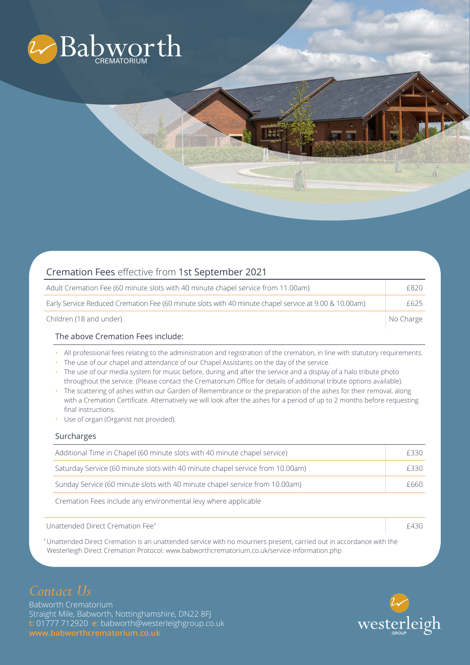

| Cremation Fees effective from 1st September 2021                                                      |      |
|-------------------------------------------------------------------------------------------------------|------|
| Adult Cremation Fee (60 minute slots with 40 minute chapel service from 11.00am)                      | £820 |
| Early Service Reduced Cremation Fee (60 minute slots with 40 minute chapel service at 9.00 & 10.00am) | F625 |

Children (18 and under) **No Charge Children** (18 and under)

## The above Cremation Fees include:

• All professional fees relating to the administration and registration of the cremation, in line with statutory requirements.

an ar

- The use of our chapel and attendance of our Chapel Assistants on the day of the service.
- The use of our media system for music before, during and after the service and a display of a halo tribute photo throughout the service. (Please contact the Crematorium Office for details of additional tribute options available).
- The scattering of ashes within our Garden of Remembrance or the preparation of the ashes for their removal, along with a Cremation Certificate. Alternatively we will look after the ashes for a period of up to 2 months before requesting final instructions.
- Use of organ (Organist not provided).

### Surcharges

| Additional Time in Chapel (60 minute slots with 40 minute chapel service)     | £330 |
|-------------------------------------------------------------------------------|------|
| Saturday Service (60 minute slots with 40 minute chapel service from 10.00am) | F330 |
| Sunday Service (60 minute slots with 40 minute chapel service from 10.00am)   | £660 |

Cremation Fees include any environmental levy where applicable

Unattended Direct Cremation Fee\* **E430** Equation Fee and the set of the set of the set of the set of the set of the set of the set of the set of the set of the set of the set of the set of the set of the set of the set of

\* Unattended Direct Cremation is an unattended service with no mourners present, carried out in accordance with the Westerleigh Direct Cremation Protocol: www.babworthcrematorium.co.uk/service-information.php

# *Contact Us*

Babworth Crematorium Straight Mile, Babworth, Nottinghamshire, DN22 8FJ **t:** 01777 712920 **e:** babworth@westerleighgroup.co.uk